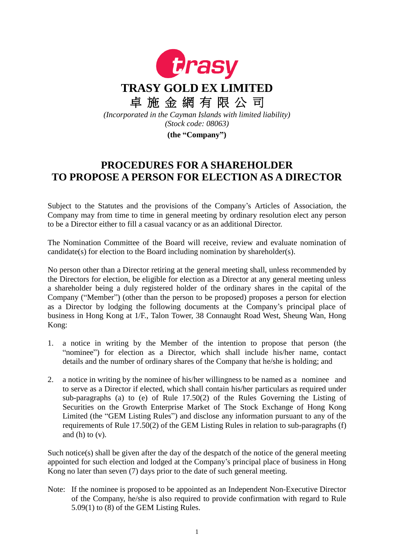

## **PROCEDURES FOR A SHAREHOLDER TO PROPOSE A PERSON FOR ELECTION AS A DIRECTOR**

Subject to the Statutes and the provisions of the Company's Articles of Association, the Company may from time to time in general meeting by ordinary resolution elect any person to be a Director either to fill a casual vacancy or as an additional Director.

The Nomination Committee of the Board will receive, review and evaluate nomination of candidate(s) for election to the Board including nomination by shareholder(s).

No person other than a Director retiring at the general meeting shall, unless recommended by the Directors for election, be eligible for election as a Director at any general meeting unless a shareholder being a duly registered holder of the ordinary shares in the capital of the Company ("Member") (other than the person to be proposed) proposes a person for election as a Director by lodging the following documents at the Company's principal place of business in Hong Kong at 1/F., Talon Tower, 38 Connaught Road West, Sheung Wan, Hong Kong:

- 1. a notice in writing by the Member of the intention to propose that person (the "nominee") for election as a Director, which shall include his/her name, contact details and the number of ordinary shares of the Company that he/she is holding; and
- 2. a notice in writing by the nominee of his/her willingness to be named as a nominee and to serve as a Director if elected, which shall contain his/her particulars as required under sub-paragraphs (a) to (e) of Rule 17.50(2) of the Rules Governing the Listing of Securities on the Growth Enterprise Market of The Stock Exchange of Hong Kong Limited (the "GEM Listing Rules") and disclose any information pursuant to any of the requirements of Rule 17.50(2) of the GEM Listing Rules in relation to sub-paragraphs (f) and  $(h)$  to  $(v)$ .

Such notice(s) shall be given after the day of the despatch of the notice of the general meeting appointed for such election and lodged at the Company's principal place of business in Hong Kong no later than seven (7) days prior to the date of such general meeting.

Note: If the nominee is proposed to be appointed as an Independent Non-Executive Director of the Company, he/she is also required to provide confirmation with regard to Rule 5.09(1) to (8) of the GEM Listing Rules.